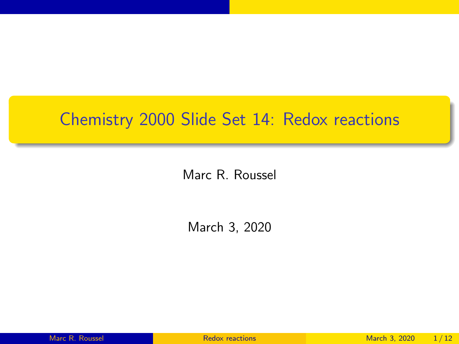## <span id="page-0-0"></span>Chemistry 2000 Slide Set 14: Redox reactions

Marc R. Roussel

March 3, 2020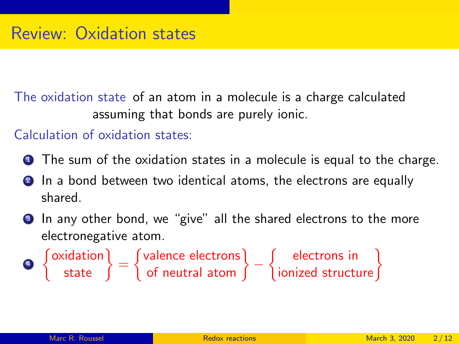The oxidation state of an atom in a molecule is a charge calculated assuming that bonds are purely ionic.

#### Calculation of oxidation states:

- **1** The sum of the oxidation states in a molecule is equal to the charge.
- 2 In a bond between two identical atoms, the electrons are equally shared.
- **3** In any other bond, we "give" all the shared electrons to the more electronegative atom.

$$
\bullet \quad \left\{ \begin{array}{c} \text{oxidation} \\ \text{state} \end{array} \right\} = \left\{ \begin{array}{c} \text{valence electrons} \\ \text{of neutral atom} \end{array} \right\} - \left\{ \begin{array}{c} \text{electrons in} \\ \text{ionized structure} \end{array} \right\}
$$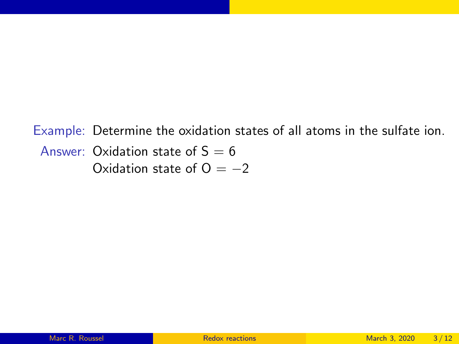Example: Determine the oxidation states of all atoms in the sulfate ion. Answer: Oxidation state of  $S = 6$ Oxidation state of  $O = -2$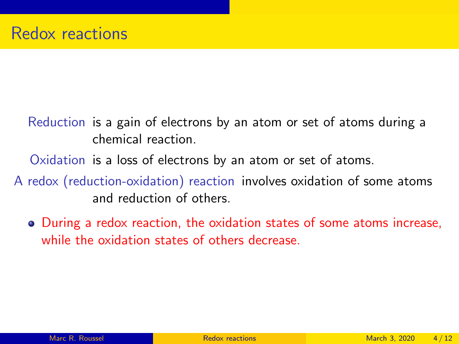- Reduction is a gain of electrons by an atom or set of atoms during a chemical reaction.
- Oxidation is a loss of electrons by an atom or set of atoms.
- A redox (reduction-oxidation) reaction involves oxidation of some atoms and reduction of others.
	- During a redox reaction, the oxidation states of some atoms increase, while the oxidation states of others decrease.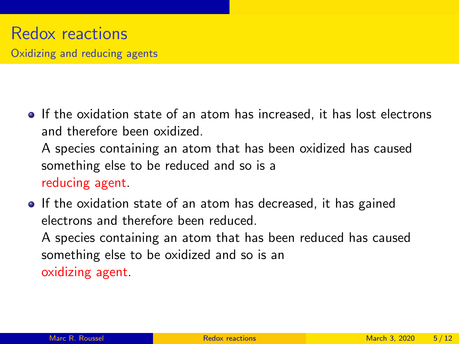# Redox reactions

Oxidizing and reducing agents

• If the oxidation state of an atom has increased, it has lost electrons and therefore been oxidized.

A species containing an atom that has been oxidized has caused something else to be reduced and so is a reducing agent.

**If the oxidation state of an atom has decreased, it has gained** electrons and therefore been reduced. A species containing an atom that has been reduced has caused something else to be oxidized and so is an oxidizing agent.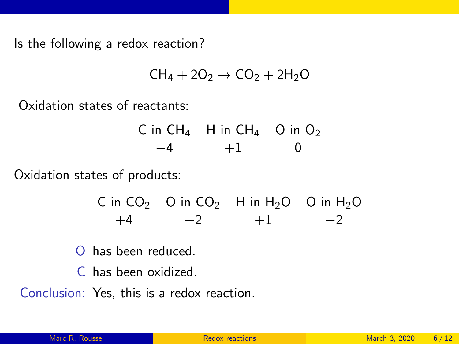Is the following a redox reaction?

$$
CH_4 + 2O_2 \rightarrow CO_2 + 2H_2O \\
$$

Oxidation states of reactants:

$$
\begin{array}{c|cc}\n\text{C in CH}_4 & \text{H in CH}_4 & \text{O in O}_2 \\
\hline\n-4 & +1 & 0\n\end{array}
$$

Oxidation states of products:

C in CO<sup>2</sup> O in CO<sup>2</sup> H in H2O O in H2O +4 −2 +1 −2

O has been reduced.

C has been oxidized.

Conclusion: Yes, this is a redox reaction.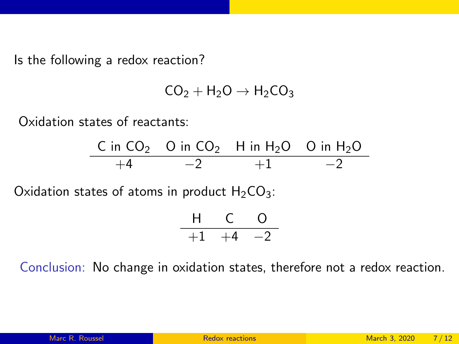Is the following a redox reaction?

$$
CO_2 + H_2O \rightarrow H_2CO_3
$$

Oxidation states of reactants:

|      | C in CO <sub>2</sub> O in CO <sub>2</sub> H in H <sub>2</sub> O O in H <sub>2</sub> O |      |
|------|---------------------------------------------------------------------------------------|------|
| $-2$ | $+1$                                                                                  | $-2$ |

Oxidation states of atoms in product  $H_2CO_3$ :

$$
\begin{array}{c c c} H & C & O \\ \hline +1 & +4 & -2 \end{array}
$$

Conclusion: No change in oxidation states, therefore not a redox reaction.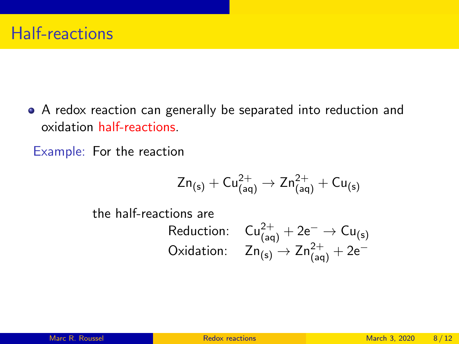A redox reaction can generally be separated into reduction and oxidation half-reactions.

Example: For the reaction

$$
Zn_{(s)}+Cu^{2+}_{(aq)}\rightarrow Zn^{2+}_{(aq)}+Cu_{(s)}
$$

the half-reactions are

Reduction: Oxidation:

$$
\begin{array}{c} Cu_{(aq)}^{2+} + 2e^- \rightarrow Cu_{(s)} \\ Zn_{(s)} \rightarrow Zn_{(aq)}^{2+} + 2e^- \end{array}
$$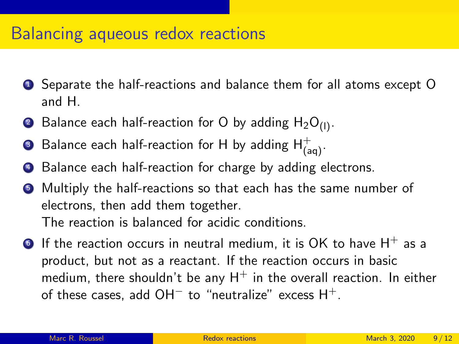## Balancing aqueous redox reactions

- **1** Separate the half-reactions and balance them for all atoms except O and H.
- **2** Balance each half-reaction for O by adding  $H_2O_{(1)}$ .
- $\bullet$  Balance each half-reaction for H by adding  $\mathsf{H}^+_{\mathsf{(aq)}}.$
- Balance each half-reaction for charge by adding electrons.
- <sup>5</sup> Multiply the half-reactions so that each has the same number of electrons, then add them together. The reaction is balanced for acidic conditions.
- $\bullet$  If the reaction occurs in neutral medium, it is OK to have H<sup>+</sup> as a product, but not as a reactant. If the reaction occurs in basic medium, there shouldn't be any  $H^+$  in the overall reaction. In either of these cases, add OH<sup>−</sup> to "neutralize" excess H+.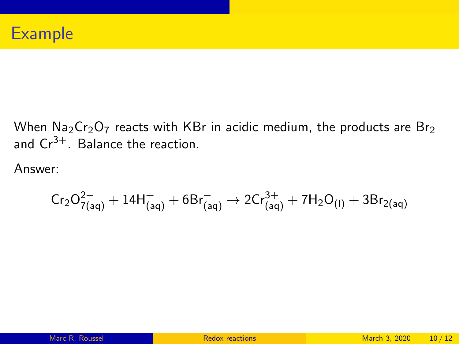When  $\text{Na}_2\text{Cr}_2\text{O}_7$  reacts with KBr in acidic medium, the products are Br<sub>2</sub> and  $Cr^{3+}$ . Balance the reaction.

Answer:

$$
Cr_2O_{7(aq)}^{2-}+14H^+_{(aq)}+6Br^-_{(aq)}\rightarrow 2Cr^{3+}_{(aq)}+7H_2O_{(l)}+3Br_{2(aq)}
$$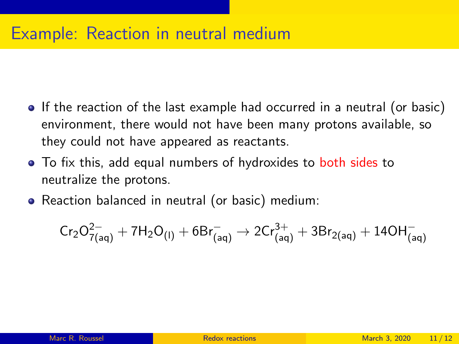## Example: Reaction in neutral medium

- If the reaction of the last example had occurred in a neutral (or basic) environment, there would not have been many protons available, so they could not have appeared as reactants.
- To fix this, add equal numbers of hydroxides to both sides to neutralize the protons.
- Reaction balanced in neutral (or basic) medium:

$$
Cr_2O_{7(aq)}^{2-} + 7H_2O_{(I)} + 6Br_{(aq)}^-\rightarrow 2Cr_{(aq)}^{3+} + 3Br_{2(aq)} + 14OH_{(aq)}^-
$$